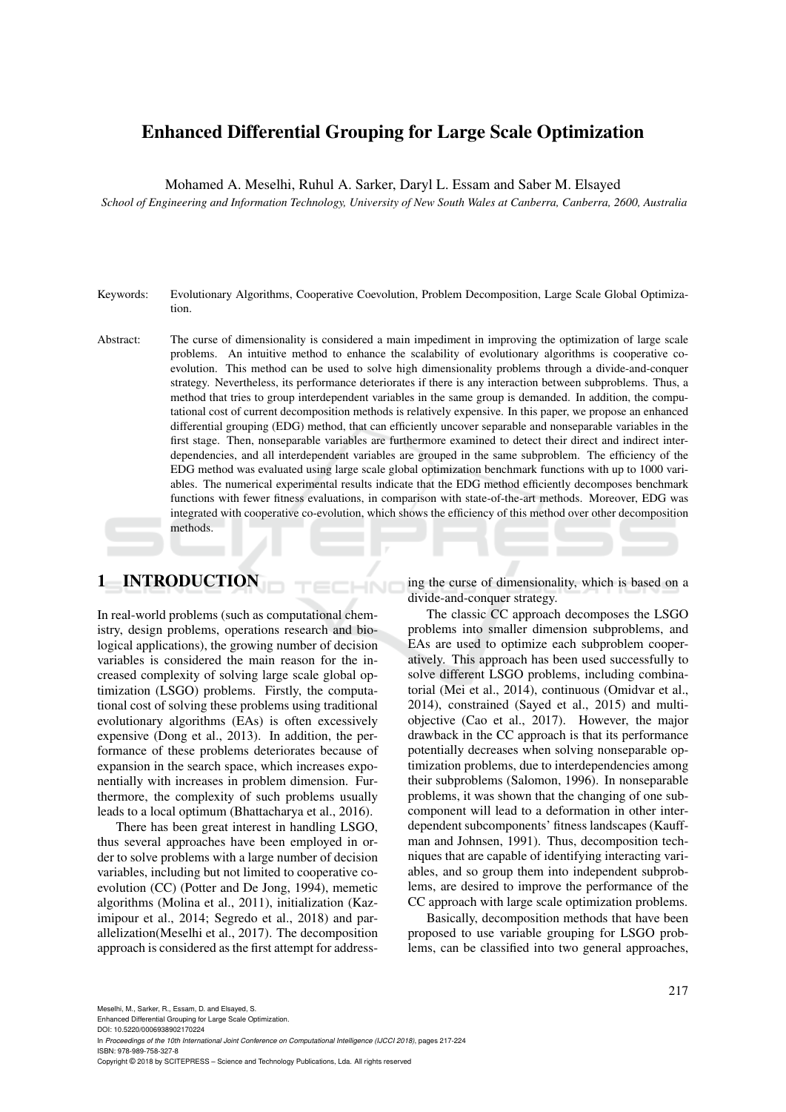# Enhanced Differential Grouping for Large Scale Optimization

Mohamed A. Meselhi, Ruhul A. Sarker, Daryl L. Essam and Saber M. Elsayed

*School of Engineering and Information Technology, University of New South Wales at Canberra, Canberra, 2600, Australia*

- Keywords: Evolutionary Algorithms, Cooperative Coevolution, Problem Decomposition, Large Scale Global Optimization.
- Abstract: The curse of dimensionality is considered a main impediment in improving the optimization of large scale problems. An intuitive method to enhance the scalability of evolutionary algorithms is cooperative coevolution. This method can be used to solve high dimensionality problems through a divide-and-conquer strategy. Nevertheless, its performance deteriorates if there is any interaction between subproblems. Thus, a method that tries to group interdependent variables in the same group is demanded. In addition, the computational cost of current decomposition methods is relatively expensive. In this paper, we propose an enhanced differential grouping (EDG) method, that can efficiently uncover separable and nonseparable variables in the first stage. Then, nonseparable variables are furthermore examined to detect their direct and indirect interdependencies, and all interdependent variables are grouped in the same subproblem. The efficiency of the EDG method was evaluated using large scale global optimization benchmark functions with up to 1000 variables. The numerical experimental results indicate that the EDG method efficiently decomposes benchmark functions with fewer fitness evaluations, in comparison with state-of-the-art methods. Moreover, EDG was integrated with cooperative co-evolution, which shows the efficiency of this method over other decomposition methods.

 $HNC$ 

# 1 INTRODUCTION

In real-world problems (such as computational chemistry, design problems, operations research and biological applications), the growing number of decision variables is considered the main reason for the increased complexity of solving large scale global optimization (LSGO) problems. Firstly, the computational cost of solving these problems using traditional evolutionary algorithms (EAs) is often excessively expensive (Dong et al., 2013). In addition, the performance of these problems deteriorates because of expansion in the search space, which increases exponentially with increases in problem dimension. Furthermore, the complexity of such problems usually leads to a local optimum (Bhattacharya et al., 2016).

There has been great interest in handling LSGO, thus several approaches have been employed in order to solve problems with a large number of decision variables, including but not limited to cooperative coevolution (CC) (Potter and De Jong, 1994), memetic algorithms (Molina et al., 2011), initialization (Kazimipour et al., 2014; Segredo et al., 2018) and parallelization(Meselhi et al., 2017). The decomposition approach is considered as the first attempt for addressing the curse of dimensionality, which is based on a divide-and-conquer strategy.

The classic CC approach decomposes the LSGO problems into smaller dimension subproblems, and EAs are used to optimize each subproblem cooperatively. This approach has been used successfully to solve different LSGO problems, including combinatorial (Mei et al., 2014), continuous (Omidvar et al., 2014), constrained (Sayed et al., 2015) and multiobjective (Cao et al., 2017). However, the major drawback in the CC approach is that its performance potentially decreases when solving nonseparable optimization problems, due to interdependencies among their subproblems (Salomon, 1996). In nonseparable problems, it was shown that the changing of one subcomponent will lead to a deformation in other interdependent subcomponents' fitness landscapes (Kauffman and Johnsen, 1991). Thus, decomposition techniques that are capable of identifying interacting variables, and so group them into independent subproblems, are desired to improve the performance of the CC approach with large scale optimization problems.

Basically, decomposition methods that have been proposed to use variable grouping for LSGO problems, can be classified into two general approaches,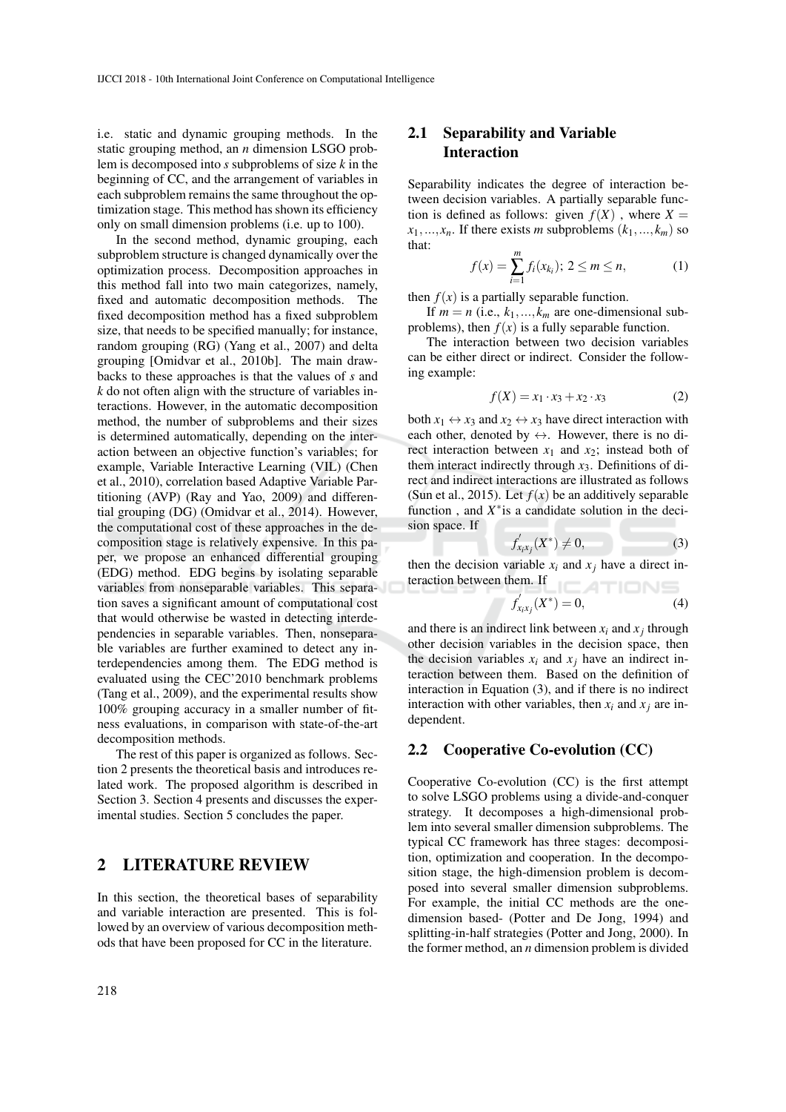i.e. static and dynamic grouping methods. In the static grouping method, an *n* dimension LSGO problem is decomposed into *s* subproblems of size *k* in the beginning of CC, and the arrangement of variables in each subproblem remains the same throughout the optimization stage. This method has shown its efficiency only on small dimension problems (i.e. up to 100).

In the second method, dynamic grouping, each subproblem structure is changed dynamically over the optimization process. Decomposition approaches in this method fall into two main categorizes, namely, fixed and automatic decomposition methods. The fixed decomposition method has a fixed subproblem size, that needs to be specified manually; for instance, random grouping (RG) (Yang et al., 2007) and delta grouping [Omidvar et al., 2010b]. The main drawbacks to these approaches is that the values of *s* and *k* do not often align with the structure of variables interactions. However, in the automatic decomposition method, the number of subproblems and their sizes is determined automatically, depending on the interaction between an objective function's variables; for example, Variable Interactive Learning (VIL) (Chen et al., 2010), correlation based Adaptive Variable Partitioning (AVP) (Ray and Yao, 2009) and differential grouping (DG) (Omidvar et al., 2014). However, the computational cost of these approaches in the decomposition stage is relatively expensive. In this paper, we propose an enhanced differential grouping (EDG) method. EDG begins by isolating separable variables from nonseparable variables. This separation saves a significant amount of computational cost that would otherwise be wasted in detecting interdependencies in separable variables. Then, nonseparable variables are further examined to detect any interdependencies among them. The EDG method is evaluated using the CEC'2010 benchmark problems (Tang et al., 2009), and the experimental results show 100% grouping accuracy in a smaller number of fitness evaluations, in comparison with state-of-the-art decomposition methods.

The rest of this paper is organized as follows. Section 2 presents the theoretical basis and introduces related work. The proposed algorithm is described in Section 3. Section 4 presents and discusses the experimental studies. Section 5 concludes the paper.

## 2 LITERATURE REVIEW

In this section, the theoretical bases of separability and variable interaction are presented. This is followed by an overview of various decomposition methods that have been proposed for CC in the literature.

## 2.1 Separability and Variable Interaction

Separability indicates the degree of interaction between decision variables. A partially separable function is defined as follows: given  $f(X)$ , where  $X =$  $x_1, \ldots, x_n$ . If there exists *m* subproblems  $(k_1, \ldots, k_m)$  so that:

$$
f(x) = \sum_{i=1}^{m} f_i(x_{k_i}); \ 2 \le m \le n,
$$
 (1)

then  $f(x)$  is a partially separable function.

If  $m = n$  (i.e.,  $k_1, ..., k_m$  are one-dimensional subproblems), then  $f(x)$  is a fully separable function.

The interaction between two decision variables can be either direct or indirect. Consider the following example:

$$
f(X) = x_1 \cdot x_3 + x_2 \cdot x_3 \tag{2}
$$

both  $x_1 \leftrightarrow x_3$  and  $x_2 \leftrightarrow x_3$  have direct interaction with each other, denoted by  $\leftrightarrow$ . However, there is no direct interaction between  $x_1$  and  $x_2$ ; instead both of them interact indirectly through *x*3. Definitions of direct and indirect interactions are illustrated as follows (Sun et al., 2015). Let  $f(x)$  be an additively separable function, and  $X^*$  is a candidate solution in the decision space. If

$$
f'_{x_ix_j}(X^*) \neq 0, \tag{3}
$$

then the decision variable  $x_i$  and  $x_j$  have a direct interaction between them. If **ICATIONS** 

$$
f'_{x_ix_j}(X^*) = 0,
$$
 (4)

and there is an indirect link between  $x_i$  and  $x_j$  through other decision variables in the decision space, then the decision variables  $x_i$  and  $x_j$  have an indirect interaction between them. Based on the definition of interaction in Equation (3), and if there is no indirect interaction with other variables, then  $x_i$  and  $x_j$  are independent.

### 2.2 Cooperative Co-evolution (CC)

Cooperative Co-evolution (CC) is the first attempt to solve LSGO problems using a divide-and-conquer strategy. It decomposes a high-dimensional problem into several smaller dimension subproblems. The typical CC framework has three stages: decomposition, optimization and cooperation. In the decomposition stage, the high-dimension problem is decomposed into several smaller dimension subproblems. For example, the initial CC methods are the onedimension based- (Potter and De Jong, 1994) and splitting-in-half strategies (Potter and Jong, 2000). In the former method, an *n* dimension problem is divided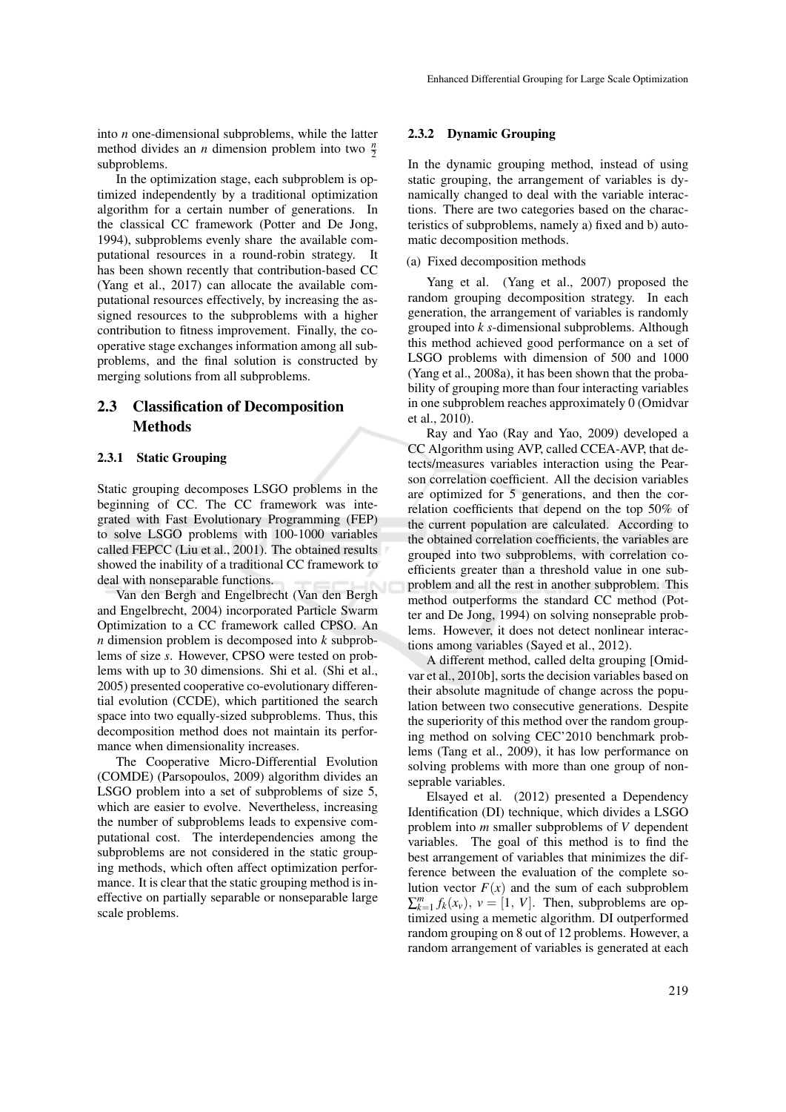into *n* one-dimensional subproblems, while the latter method divides an *n* dimension problem into two  $\frac{n}{2}$ subproblems.

In the optimization stage, each subproblem is optimized independently by a traditional optimization algorithm for a certain number of generations. In the classical CC framework (Potter and De Jong, 1994), subproblems evenly share the available computational resources in a round-robin strategy. It has been shown recently that contribution-based CC (Yang et al., 2017) can allocate the available computational resources effectively, by increasing the assigned resources to the subproblems with a higher contribution to fitness improvement. Finally, the cooperative stage exchanges information among all subproblems, and the final solution is constructed by merging solutions from all subproblems.

## 2.3 Classification of Decomposition **Methods**

#### 2.3.1 Static Grouping

Static grouping decomposes LSGO problems in the beginning of CC. The CC framework was integrated with Fast Evolutionary Programming (FEP) to solve LSGO problems with 100-1000 variables called FEPCC (Liu et al., 2001). The obtained results showed the inability of a traditional CC framework to deal with nonseparable functions.

Van den Bergh and Engelbrecht (Van den Bergh and Engelbrecht, 2004) incorporated Particle Swarm Optimization to a CC framework called CPSO. An *n* dimension problem is decomposed into *k* subproblems of size *s*. However, CPSO were tested on problems with up to 30 dimensions. Shi et al. (Shi et al., 2005) presented cooperative co-evolutionary differential evolution (CCDE), which partitioned the search space into two equally-sized subproblems. Thus, this decomposition method does not maintain its performance when dimensionality increases.

The Cooperative Micro-Differential Evolution (COMDE) (Parsopoulos, 2009) algorithm divides an LSGO problem into a set of subproblems of size 5, which are easier to evolve. Nevertheless, increasing the number of subproblems leads to expensive computational cost. The interdependencies among the subproblems are not considered in the static grouping methods, which often affect optimization performance. It is clear that the static grouping method is ineffective on partially separable or nonseparable large scale problems.

#### 2.3.2 Dynamic Grouping

In the dynamic grouping method, instead of using static grouping, the arrangement of variables is dynamically changed to deal with the variable interactions. There are two categories based on the characteristics of subproblems, namely a) fixed and b) automatic decomposition methods.

#### (a) Fixed decomposition methods

Yang et al. (Yang et al., 2007) proposed the random grouping decomposition strategy. In each generation, the arrangement of variables is randomly grouped into *k s*-dimensional subproblems. Although this method achieved good performance on a set of LSGO problems with dimension of 500 and 1000 (Yang et al., 2008a), it has been shown that the probability of grouping more than four interacting variables in one subproblem reaches approximately 0 (Omidvar et al., 2010).

Ray and Yao (Ray and Yao, 2009) developed a CC Algorithm using AVP, called CCEA-AVP, that detects/measures variables interaction using the Pearson correlation coefficient. All the decision variables are optimized for 5 generations, and then the correlation coefficients that depend on the top 50% of the current population are calculated. According to the obtained correlation coefficients, the variables are grouped into two subproblems, with correlation coefficients greater than a threshold value in one subproblem and all the rest in another subproblem. This method outperforms the standard CC method (Potter and De Jong, 1994) on solving nonseprable problems. However, it does not detect nonlinear interactions among variables (Sayed et al., 2012).

A different method, called delta grouping [Omidvar et al., 2010b], sorts the decision variables based on their absolute magnitude of change across the population between two consecutive generations. Despite the superiority of this method over the random grouping method on solving CEC'2010 benchmark problems (Tang et al., 2009), it has low performance on solving problems with more than one group of nonseprable variables.

Elsayed et al. (2012) presented a Dependency Identification (DI) technique, which divides a LSGO problem into *m* smaller subproblems of *V* dependent variables. The goal of this method is to find the best arrangement of variables that minimizes the difference between the evaluation of the complete solution vector  $F(x)$  and the sum of each subproblem  $\sum_{k=1}^{m} f_k(x_v)$ ,  $v = [1, V]$ . Then, subproblems are optimized using a memetic algorithm. DI outperformed random grouping on 8 out of 12 problems. However, a random arrangement of variables is generated at each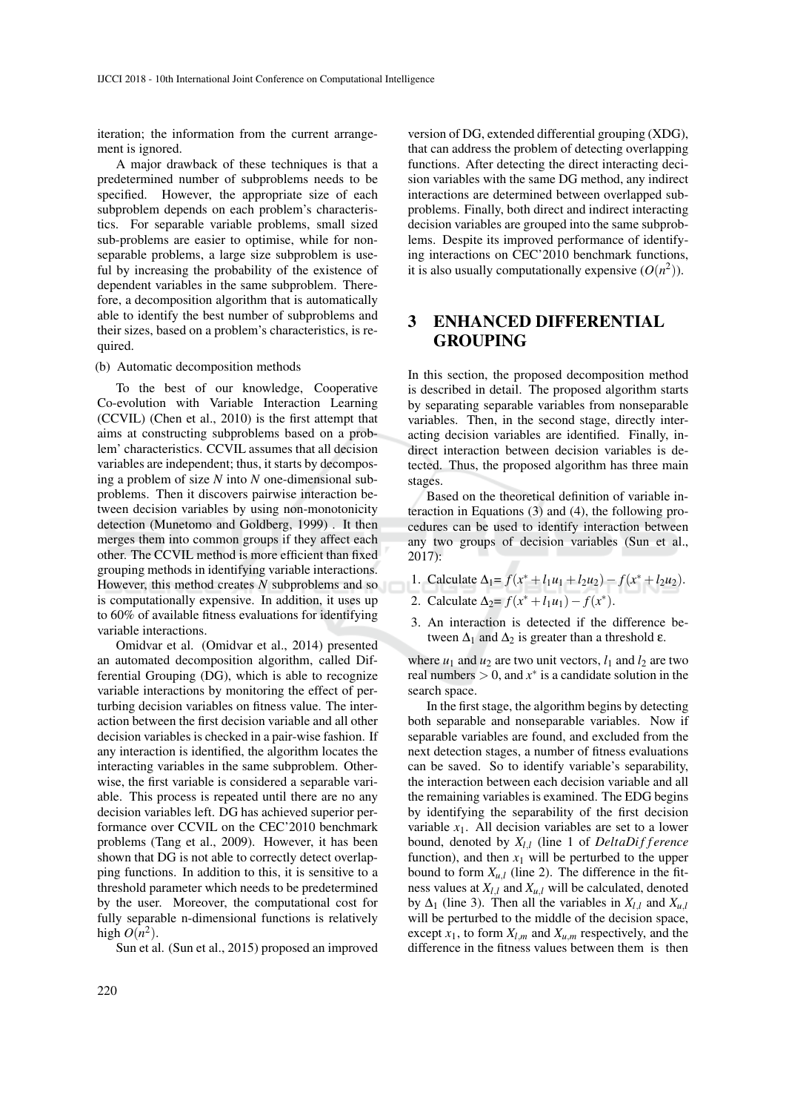iteration; the information from the current arrangement is ignored.

A major drawback of these techniques is that a predetermined number of subproblems needs to be specified. However, the appropriate size of each subproblem depends on each problem's characteristics. For separable variable problems, small sized sub-problems are easier to optimise, while for nonseparable problems, a large size subproblem is useful by increasing the probability of the existence of dependent variables in the same subproblem. Therefore, a decomposition algorithm that is automatically able to identify the best number of subproblems and their sizes, based on a problem's characteristics, is required.

(b) Automatic decomposition methods

To the best of our knowledge, Cooperative Co-evolution with Variable Interaction Learning (CCVIL) (Chen et al., 2010) is the first attempt that aims at constructing subproblems based on a problem' characteristics. CCVIL assumes that all decision variables are independent; thus, it starts by decomposing a problem of size *N* into *N* one-dimensional subproblems. Then it discovers pairwise interaction between decision variables by using non-monotonicity detection (Munetomo and Goldberg, 1999) . It then merges them into common groups if they affect each other. The CCVIL method is more efficient than fixed grouping methods in identifying variable interactions. However, this method creates *N* subproblems and so is computationally expensive. In addition, it uses up to 60% of available fitness evaluations for identifying variable interactions.

Omidvar et al. (Omidvar et al., 2014) presented an automated decomposition algorithm, called Differential Grouping (DG), which is able to recognize variable interactions by monitoring the effect of perturbing decision variables on fitness value. The interaction between the first decision variable and all other decision variables is checked in a pair-wise fashion. If any interaction is identified, the algorithm locates the interacting variables in the same subproblem. Otherwise, the first variable is considered a separable variable. This process is repeated until there are no any decision variables left. DG has achieved superior performance over CCVIL on the CEC'2010 benchmark problems (Tang et al., 2009). However, it has been shown that DG is not able to correctly detect overlapping functions. In addition to this, it is sensitive to a threshold parameter which needs to be predetermined by the user. Moreover, the computational cost for fully separable n-dimensional functions is relatively high  $O(n^2)$ .

Sun et al. (Sun et al., 2015) proposed an improved

version of DG, extended differential grouping (XDG), that can address the problem of detecting overlapping functions. After detecting the direct interacting decision variables with the same DG method, any indirect interactions are determined between overlapped subproblems. Finally, both direct and indirect interacting decision variables are grouped into the same subproblems. Despite its improved performance of identifying interactions on CEC'2010 benchmark functions, it is also usually computationally expensive  $(O(n^2))$ .

## 3 ENHANCED DIFFERENTIAL GROUPING

In this section, the proposed decomposition method is described in detail. The proposed algorithm starts by separating separable variables from nonseparable variables. Then, in the second stage, directly interacting decision variables are identified. Finally, indirect interaction between decision variables is detected. Thus, the proposed algorithm has three main stages.

Based on the theoretical definition of variable interaction in Equations (3) and (4), the following procedures can be used to identify interaction between any two groups of decision variables (Sun et al., 2017):

- 1. Calculate  $\Delta_1 = f(x^* + l_1u_1 + l_2u_2) f(x^* + l_2u_2)$ .
- 2. Calculate  $\Delta_2 = f(x^* + l_1 u_1) f(x^*)$ .
- 3. An interaction is detected if the difference between  $\Delta_1$  and  $\Delta_2$  is greater than a threshold ε.

where  $u_1$  and  $u_2$  are two unit vectors,  $l_1$  and  $l_2$  are two real numbers  $> 0$ , and  $x^*$  is a candidate solution in the search space.

In the first stage, the algorithm begins by detecting both separable and nonseparable variables. Now if separable variables are found, and excluded from the next detection stages, a number of fitness evaluations can be saved. So to identify variable's separability, the interaction between each decision variable and all the remaining variables is examined. The EDG begins by identifying the separability of the first decision variable  $x_1$ . All decision variables are set to a lower bound, denoted by  $X_{l,l}$  (line 1 of *DeltaDifference* function), and then  $x_1$  will be perturbed to the upper bound to form  $X_{u,l}$  (line 2). The difference in the fitness values at *Xl*,*<sup>l</sup>* and *Xu*,*<sup>l</sup>* will be calculated, denoted by  $\Delta_1$  (line 3). Then all the variables in  $X_{l,l}$  and  $X_{u,l}$ will be perturbed to the middle of the decision space, except  $x_1$ , to form  $X_{l,m}$  and  $X_{u,m}$  respectively, and the difference in the fitness values between them is then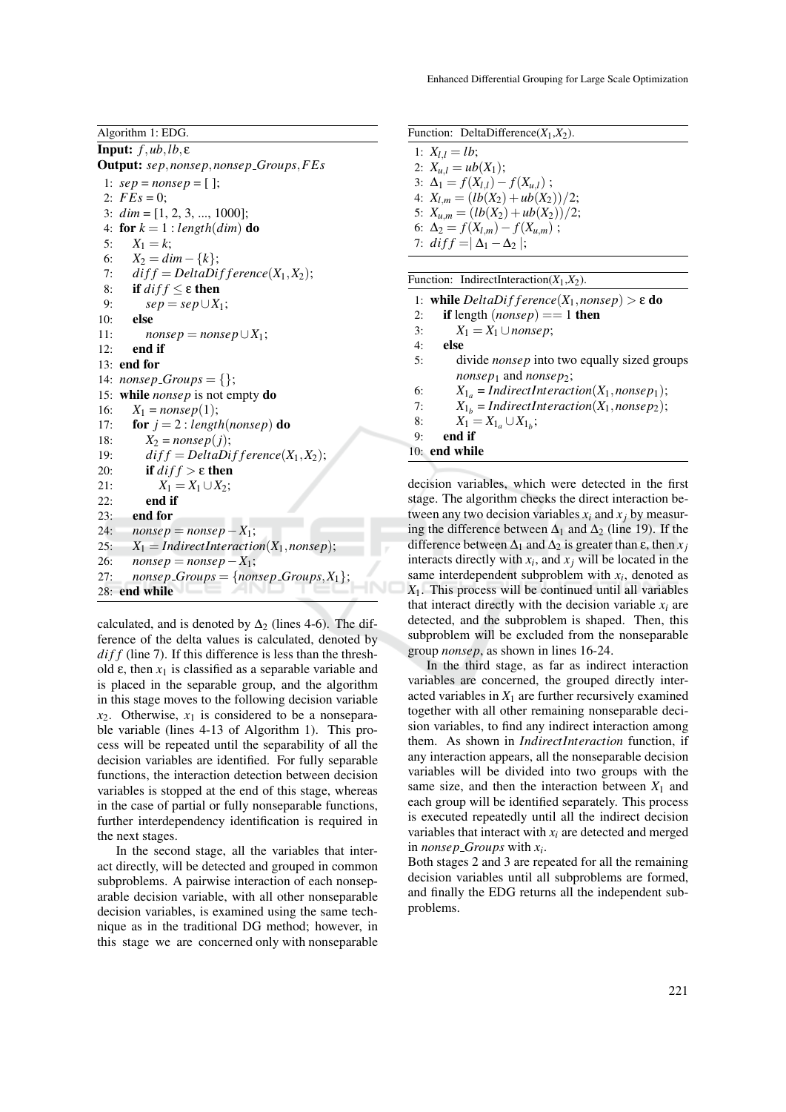Algorithm 1: EDG.

Input: *f*,*ub*,*lb*, ε Output: *sep*,*nonsep*,*nonsep Groups*,*FEs* 1: *sep* = *nonsep* = [ ]; 2:  $FEs = 0$ : 3: *dim* = [1, 2, 3, ..., 1000]; 4: for  $k = 1$ : *length*(*dim*) do 5:  $X_1 = k$ ; 6:  $X_2 = dim - \{k\};$ <br>7:  $diff = DeltaDi$  $diff = DeltaDifference(X_1, X_2);$ 8: **if**  $diff \le \varepsilon$  then<br>9:  $\sup_{S \in \mathcal{B}} \le \sup_{S \in \mathcal{B}} |X|$ 9:  $sep = sep \cup X_1;$ <br>10: **else** else 11: *nonsep* = *nonsep*  $\cup X_1$ ;<br>12: **end if** end if 13: end for 14:  $nonsep\_Groups = \{\};$ 15: while *nonsep* is not empty do 16:  $X_1 = \text{nonsep}(1);$ 17: **for**  $j = 2$ : *length*(*nonsep*) do 18:  $X_2 = \text{nonsep}(j);$ <br>19:  $\text{diff} = \text{DeltaDi}$ 19:  $diff = DeltaDifference(X_1, X_2);$ <br>20: **if**  $diff > \varepsilon$  **then** if  $diff$  > ε then 21:  $X_1 = X_1 \cup X_2;$ <br>22: **end if** end if 23: end for 24:  $nonsep = nonsep - X_1;$ <br>25:  $X_1 = IndirectInteractic$  $X_1 = IndirectInteraction(X_1, nonsep);$ 26:  $nonsep = nonsep - X_1;$ <br>27:  $nonsep - Groups = {nonsep - R_1}$  $nonsep\_Groups = {nonsep\_Groups, X<sub>1</sub>};$ 28: end while

calculated, and is denoted by  $\Delta_2$  (lines 4-6). The difference of the delta values is calculated, denoted by *diff* (line 7). If this difference is less than the threshold  $\varepsilon$ , then  $x_1$  is classified as a separable variable and is placed in the separable group, and the algorithm in this stage moves to the following decision variable  $x_2$ . Otherwise,  $x_1$  is considered to be a nonseparable variable (lines 4-13 of Algorithm 1). This process will be repeated until the separability of all the decision variables are identified. For fully separable functions, the interaction detection between decision variables is stopped at the end of this stage, whereas in the case of partial or fully nonseparable functions, further interdependency identification is required in the next stages.

In the second stage, all the variables that interact directly, will be detected and grouped in common subproblems. A pairwise interaction of each nonseparable decision variable, with all other nonseparable decision variables, is examined using the same technique as in the traditional DG method; however, in this stage we are concerned only with nonseparable

| Function: DeltaDifference( $X_1, X_2$ ). |  |
|------------------------------------------|--|
|                                          |  |

1:  $X_{l,l} = lb;$ 2:  $X_{u,l} = ub(X_1);$ 3:  $\Delta_1 = f(X_{l,l}) - f(X_{u,l})$ ; 4:  $X_{l,m} = (lb(X_2) + ub(X_2))/2;$ 5:  $X_{u,m} = (lb(X_2) + ub(X_2))/2;$ 6:  $\Delta_2 = f(X_{l,m}) - f(X_{l,m})$ ; 7:  $diff = |\Delta_1 - \Delta_2|$ ;

| Function: IndirectInteraction( $X_1, X_2$ ).                          |
|-----------------------------------------------------------------------|
| 1: while $DeltaDifference(X_1, nonsep) > \varepsilon$ do              |
| if length $(nonsep) == 1$ then<br>2:                                  |
| $X_1 = X_1 \cup \textit{nonsep};$<br>3:                               |
| else<br>4:                                                            |
| divide <i>nonsep</i> into two equally sized groups<br>5:              |
| <i>nonsep</i> <sub>1</sub> and <i>nonsep</i> <sub>2</sub> ;           |
| $X_{1a}$ = IndirectInteraction( $X_1$ , nonse $p_1$ );<br>6:          |
| $X_{1_h}$ = IndirectInteraction( $X_1$ , nonsep <sub>2</sub> );<br>7: |
| $X_1 = X_{1_a} \cup X_{1_b};$<br>8:                                   |
| end if<br>9:                                                          |
| $10:$ end while                                                       |
|                                                                       |

decision variables, which were detected in the first stage. The algorithm checks the direct interaction between any two decision variables  $x_i$  and  $x_j$  by measuring the difference between  $\Delta_1$  and  $\Delta_2$  (line 19). If the difference between  $\Delta_1$  and  $\Delta_2$  is greater than  $\varepsilon$ , then  $x_j$ interacts directly with  $x_i$ , and  $x_j$  will be located in the same interdependent subproblem with  $x_i$ , denoted as *X*1. This process will be continued until all variables that interact directly with the decision variable  $x_i$  are detected, and the subproblem is shaped. Then, this subproblem will be excluded from the nonseparable group *nonsep*, as shown in lines 16-24.

In the third stage, as far as indirect interaction variables are concerned, the grouped directly interacted variables in  $X_1$  are further recursively examined together with all other remaining nonseparable decision variables, to find any indirect interaction among them. As shown in *IndirectInteraction* function, if any interaction appears, all the nonseparable decision variables will be divided into two groups with the same size, and then the interaction between  $X_1$  and each group will be identified separately. This process is executed repeatedly until all the indirect decision variables that interact with  $x_i$  are detected and merged in *nonsep Groups* with *x<sup>i</sup>* .

Both stages 2 and 3 are repeated for all the remaining decision variables until all subproblems are formed, and finally the EDG returns all the independent subproblems.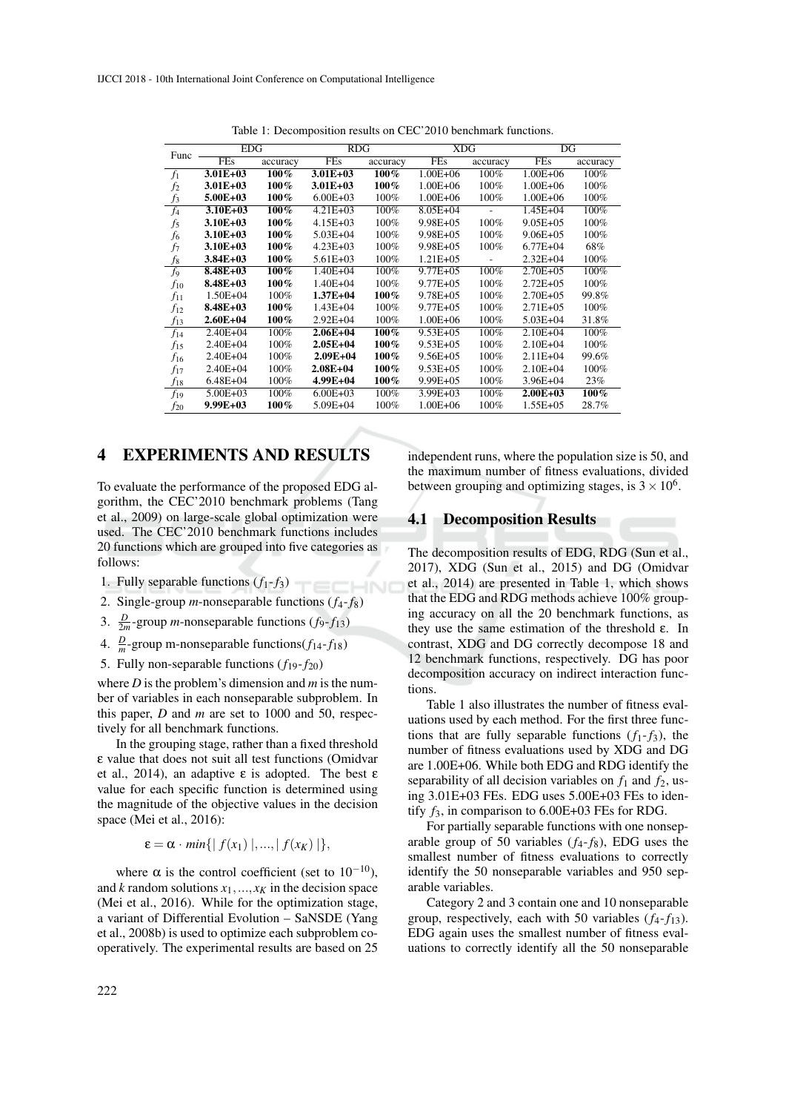|                | <b>EDG</b>   |          | <b>RDG</b>   |          | <b>XDG</b>    |          | DG            |          |
|----------------|--------------|----------|--------------|----------|---------------|----------|---------------|----------|
| Func           | FEs          | accuracy | FEs          | accuracy | <b>FEs</b>    | accuracy | FEs           | accuracy |
| $f_1$          | $3.01E + 03$ | 100%     | $3.01E + 03$ | 100%     | $1.00E + 06$  | 100%     | $1.00E + 06$  | 100%     |
| f <sub>2</sub> | $3.01E + 03$ | 100%     | $3.01E + 03$ | $100\%$  | $1.00E + 06$  | 100%     | $1.00E + 06$  | 100%     |
| $f_3$          | $5.00E + 03$ | $100\%$  | $6.00E + 03$ | 100%     | $1.00E + 06$  | 100%     | $1.00E + 06$  | 100%     |
| $f_4$          | $3.10E + 03$ | $100\%$  | $4.21E + 03$ | 100%     | $8.05E + 04$  |          | $1.45E + 04$  | 100%     |
| $f_5$          | $3.10E + 03$ | $100\%$  | $4.15E + 03$ | 100%     | $9.98E + 0.5$ | 100%     | $9.05E + 0.5$ | 100%     |
| f <sub>6</sub> | $3.10E + 03$ | $100\%$  | $5.03E + 04$ | 100%     | $9.98E + 05$  | 100%     | $9.06E + 05$  | 100%     |
| f7             | $3.10E + 03$ | $100\%$  | $4.23E + 03$ | 100%     | $9.98E + 05$  | 100%     | $6.77E + 04$  | 68%      |
| f8             | $3.84E + 03$ | $100\%$  | $5.61E + 03$ | 100%     | $1.21E + 05$  |          | $2.32E + 04$  | 100%     |
| $f_{9}$        | 8.48E+03     | $100\%$  | $1.40E + 04$ | 100%     | $9.77E + 0.5$ | 100%     | $2.70E + 0.5$ | 100%     |
| $f_{10}$       | $8.48E + 03$ | $100\%$  | $1.40E + 04$ | 100%     | $9.77E + 0.5$ | 100%     | $2.72E + 0.5$ | 100%     |
| $f_{11}$       | $1.50E + 04$ | 100%     | $1.37E + 04$ | 100%     | $9.78E + 05$  | 100%     | $2.70E + 0.5$ | 99.8%    |
| $f_{12}$       | 8.48E+03     | $100\%$  | $1.43E + 04$ | 100%     | $9.77E + 05$  | 100%     | $2.71E + 0.5$ | 100%     |
| $f_{13}$       | $2.60E + 04$ | $100\%$  | $2.92E + 04$ | 100%     | $1.00E + 06$  | 100%     | $5.03E + 04$  | 31.8%    |
| $f_{14}$       | $2.40E + 04$ | 100%     | $2.06E + 04$ | 100%     | $9.53E + 05$  | 100%     | $2.10E + 04$  | 100%     |
| $f_{15}$       | $2.40E + 04$ | 100%     | $2.05E + 04$ | 100%     | $9.53E + 05$  | 100%     | $2.10E + 04$  | 100%     |
| $f_{16}$       | $2.40E + 04$ | 100%     | $2.09E + 04$ | 100%     | $9.56E + 05$  | 100%     | $2.11E + 04$  | 99.6%    |
| $f_{17}$       | $2.40E + 04$ | 100%     | $2.08E + 04$ | 100%     | $9.53E + 05$  | 100%     | $2.10E + 04$  | 100%     |
| $f_{18}$       | $6.48E + 04$ | 100%     | 4.99E+04     | 100%     | $9.99E + 05$  | 100%     | 3.96E+04      | 23%      |
| $f_{19}$       | $5.00E + 03$ | 100%     | $6.00E + 03$ | 100%     | $3.99E + 03$  | 100%     | $2.00E + 03$  | 100%     |
| $f_{20}$       | $9.99E+03$   | $100\%$  | $5.09E + 04$ | 100%     | $1.00E + 06$  | 100%     | $1.55E + 05$  | 28.7%    |

Table 1: Decomposition results on CEC'2010 benchmark functions.

## 4 EXPERIMENTS AND RESULTS

To evaluate the performance of the proposed EDG algorithm, the CEC'2010 benchmark problems (Tang et al., 2009) on large-scale global optimization were used. The CEC'2010 benchmark functions includes 20 functions which are grouped into five categories as follows:

- 1. Fully separable functions  $(f_1 f_3)$
- 2. Single-group *m*-nonseparable functions  $(f_4 f_8)$
- 3.  $\frac{D}{2m}$ -group *m*-nonseparable functions (*f*<sub>9</sub>-*f*<sub>13</sub>)
- 4.  $\frac{D}{m}$ -group m-nonseparable functions( $f_{14}$ - $f_{18}$ )
- 5. Fully non-separable functions  $(f_{19}-f_{20})$

where *D* is the problem's dimension and *m* is the number of variables in each nonseparable subproblem. In this paper, *D* and *m* are set to 1000 and 50, respectively for all benchmark functions.

In the grouping stage, rather than a fixed threshold ε value that does not suit all test functions (Omidvar et al., 2014), an adaptive ε is adopted. The best ε value for each specific function is determined using the magnitude of the objective values in the decision space (Mei et al., 2016):

$$
\varepsilon = \alpha \cdot \min\{|f(x_1)|, ..., |f(x_K)|\},\
$$

where  $\alpha$  is the control coefficient (set to 10<sup>-10</sup>), and  $k$  random solutions  $x_1, \ldots, x_k$  in the decision space (Mei et al., 2016). While for the optimization stage, a variant of Differential Evolution – SaNSDE (Yang et al., 2008b) is used to optimize each subproblem cooperatively. The experimental results are based on 25

independent runs, where the population size is 50, and the maximum number of fitness evaluations, divided between grouping and optimizing stages, is  $3 \times 10^6$ .

### 4.1 Decomposition Results

The decomposition results of EDG, RDG (Sun et al., 2017), XDG (Sun et al., 2015) and DG (Omidvar et al., 2014) are presented in Table 1, which shows that the EDG and RDG methods achieve 100% grouping accuracy on all the 20 benchmark functions, as they use the same estimation of the threshold  $ε$ . In contrast, XDG and DG correctly decompose 18 and 12 benchmark functions, respectively. DG has poor decomposition accuracy on indirect interaction functions.

Table 1 also illustrates the number of fitness evaluations used by each method. For the first three functions that are fully separable functions  $(f_1-f_3)$ , the number of fitness evaluations used by XDG and DG are 1.00E+06. While both EDG and RDG identify the separability of all decision variables on  $f_1$  and  $f_2$ , using 3.01E+03 FEs. EDG uses 5.00E+03 FEs to identify  $f_3$ , in comparison to  $6.00E+03$  FEs for RDG.

For partially separable functions with one nonseparable group of 50 variables  $(f_4 - f_8)$ , EDG uses the smallest number of fitness evaluations to correctly identify the 50 nonseparable variables and 950 separable variables.

Category 2 and 3 contain one and 10 nonseparable group, respectively, each with 50 variables  $(f_4 - f_{13})$ . EDG again uses the smallest number of fitness evaluations to correctly identify all the 50 nonseparable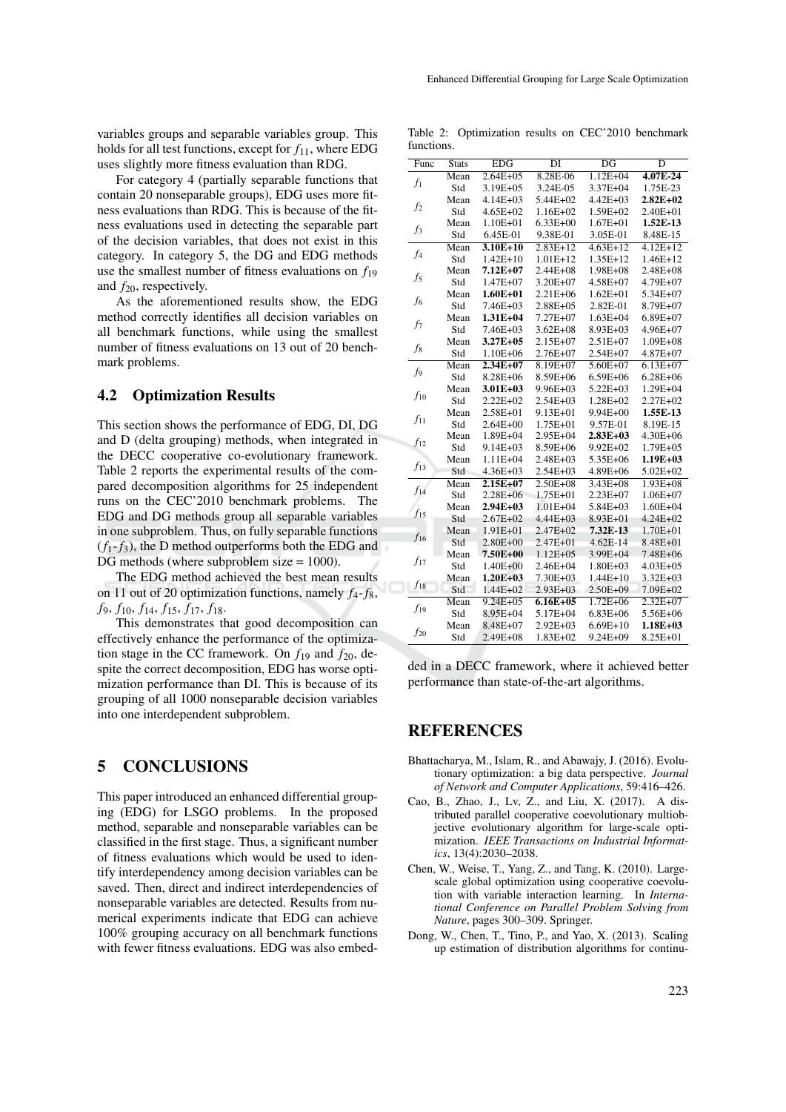variables groups and separable variables group. This holds for all test functions, except for  $f_{11}$ , where EDG uses slightly more fitness evaluation than RDG.

For category 4 (partially separable functions that contain 20 nonseparable groups), EDG uses more fitness evaluations than RDG. This is because of the fitness evaluations used in detecting the separable part of the decision variables, that does not exist in this category. In category 5, the DG and EDG methods use the smallest number of fitness evaluations on *f*<sup>19</sup> and  $f_{20}$ , respectively.

As the aforementioned results show, the EDG method correctly identifies all decision variables on all benchmark functions, while using the smallest number of fitness evaluations on 13 out of 20 benchmark problems.

### 4.2 Optimization Results

This section shows the performance of EDG, DI, DG and D (delta grouping) methods, when integrated in the DECC cooperative co-evolutionary framework. Table 2 reports the experimental results of the compared decomposition algorithms for 25 independent runs on the CEC'2010 benchmark problems. The EDG and DG methods group all separable variables in one subproblem. Thus, on fully separable functions  $(f_1-f_3)$ , the D method outperforms both the EDG and DG methods (where subproblem size = 1000).

The EDG method achieved the best mean results on 11 out of 20 optimization functions, namely *f*4-*f*8, *f*9, *f*10, *f*14, *f*15, *f*17, *f*18.

This demonstrates that good decomposition can effectively enhance the performance of the optimization stage in the CC framework. On  $f_{19}$  and  $f_{20}$ , despite the correct decomposition, EDG has worse optimization performance than DI. This is because of its grouping of all 1000 nonseparable decision variables into one interdependent subproblem.

### 5 CONCLUSIONS

This paper introduced an enhanced differential grouping (EDG) for LSGO problems. In the proposed method, separable and nonseparable variables can be classified in the first stage. Thus, a significant number of fitness evaluations which would be used to identify interdependency among decision variables can be saved. Then, direct and indirect interdependencies of nonseparable variables are detected. Results from numerical experiments indicate that EDG can achieve 100% grouping accuracy on all benchmark functions with fewer fitness evaluations. EDG was also embed-

Table 2: Optimization results on CEC'2010 benchmark functions.

| Func           | <b>Stats</b> | <b>EDG</b>    | DI           | $\overline{\mathrm{DG}}$ | D            |
|----------------|--------------|---------------|--------------|--------------------------|--------------|
| $f_1$          | Mean         | $2.64E + 05$  | 8.28E-06     | $1.12E + 04$             | 4.07E-24     |
|                | Std          | 3.19E+05      | 3.24E-05     | 3.37E+04                 | 1.75E-23     |
|                | Mean         | $4.14E + 03$  | 5.44E+02     | $4.42E + 03$             | $2.82E+02$   |
| f <sub>2</sub> | Std          | 4.65E+02      | 1.16E+02     | 1.59E+02                 | 2.40E+01     |
|                | Mean         | 1.10E+01      | $6.33E + 00$ | 1.67E+01                 | 1.52E-13     |
| $f_3$          | Std          | 6.45E-01      | 9.38E-01     | 3.05E-01                 | 8.48E-15     |
| $f_4$          | Mean         | $3.10E+10$    | $2.83E+12$   | $4.63E+12$               | $4.12E+12$   |
|                | Std          | $1.42E+10$    | 1.01E+12     | 1.35E+12                 | $1.46E+12$   |
|                | Mean         | $7.12E + 07$  | $2.44E + 08$ | $1.98E + 08$             | 2.48E+08     |
| $f_5$          | Std          | $1.47E + 07$  | 3.20E+07     | $4.58E + 07$             | 4.79E+07     |
| $f_6$          | Mean         | $1.60E + 01$  | $2.21E + 06$ | $1.62E + 01$             | 5.34E+07     |
|                | Std          | 7.46E+03      | 2.88E+05     | 2.82E-01                 | 8.79E+07     |
| $f_7$          | Mean         | $1.31E + 04$  | 7.27E+07     | $1.63E + 04$             | $6.89E + 07$ |
|                | Std          | 7.46E+03      | $3.62E + 08$ | 8.93E+03                 | 4.96E+07     |
| $f_8$          | Mean         | $3.27E + 0.5$ | 2.15E+07     | 2.51E+07                 | $1.09E + 08$ |
|                | Std          | 1.10E+06      | $2.76E + 07$ | $2.54E + 07$             | 4.87E+07     |
| f <sub>9</sub> | Mean         | $2.34E + 07$  | 8.19E+07     | $5.60E + 07$             | $6.13E + 07$ |
|                | Std          | 8.28E+06      | 8.59E+06     | $6.59E + 06$             | $6.28E + 06$ |
|                | Mean         | $3.01E + 03$  | 9.96E+03     | $5.22E + 03$             | $1.29E + 04$ |
| $f_{10}$       | Std          | 2.22E+02      | 2.54E+03     | 1.28E+02                 | 2.27E+02     |
| $f_{11}$       | Mean         | 2.58E+01      | 9.13E+01     | 9.94E+00                 | 1.55E-13     |
|                | Std          | 2.64E+00      | 1.75E+01     | 9.57E-01                 | 8.19E-15     |
| $f_{12}$       | Mean         | 1.89E+04      | 2.95E+04     | $2.83E+03$               | 4.30E+06     |
|                | Std          | 9.14E+03      | 8.59E+06     | $9.92E + 02$             | $1.79E + 05$ |
| $f_{13}$       | Mean         | $1.11E + 04$  | 2.48E+03     | 5.35E+06                 | 1.19E+03     |
|                | Std          | $4.36E + 03$  | 2.54E+03     | 4.89E+06                 | 5.02E+02     |
| $f_{14}$       | Mean         | $2.15E+07$    | $2.50E + 08$ | $3.43E + 08$             | $1.93E + 08$ |
|                | Std          | 2.28E+06      | 1.75E+01     | $2.23E + 07$             | $1.06E + 07$ |
| $f_{15}$       | Mean         | $2.94E + 03$  | $1.01E + 04$ | 5.84E+03                 | $1.60E + 04$ |
|                | Std          | $2.67E + 02$  | 4.44E+03     | 8.93E+01                 | 4.24E+02     |
| $f_{16}$       | Mean         | 1.91E+01      | 2.47E+02     | 7.32E-13                 | 1.70E+01     |
|                | Std          | 2.80E+00      | 2.47E+01     | 4.62E-14                 | 8.48E+01     |
| $f_{17}$       | Mean         | 7.50E+00      | $1.12E + 05$ | 3.99E+04                 | 7.48E+06     |
|                | Std          | 1.40E+00      | 2.46E+04     | 1.80E+03                 | $4.03E + 05$ |
| $f_{18}$       | Mean         | $1.20E + 03$  | 7.30E+03     | $1.44E+10$               | 3.32E+03     |
|                | Std          | 1.44E+02      | 2.93E+03     | 2.50E+09                 | 7.09E+02     |
| $f_{19}$       | Mean         | $9.24E + 05$  | $6.16E + 05$ | $1.72E + 06$             | $2.32E + 07$ |
|                | Std          | 8.95E+04      | 5.17E+04     | $6.83E + 06$             | 5.56E+06     |
| $f_{20}$       | Mean         | 8.48E+07      | $2.92E + 03$ | $6.69E+10$               | $1.18E + 03$ |
|                | Std          | 2.49E+08      | $1.83E + 02$ | $9.24E + 09$             | 8.25E+01     |

ded in a DECC framework, where it achieved better performance than state-of-the-art algorithms.

## REFERENCES

- Bhattacharya, M., Islam, R., and Abawajy, J. (2016). Evolutionary optimization: a big data perspective. *Journal of Network and Computer Applications*, 59:416–426.
- Cao, B., Zhao, J., Lv, Z., and Liu, X. (2017). A distributed parallel cooperative coevolutionary multiobjective evolutionary algorithm for large-scale optimization. *IEEE Transactions on Industrial Informatics*, 13(4):2030–2038.
- Chen, W., Weise, T., Yang, Z., and Tang, K. (2010). Largescale global optimization using cooperative coevolution with variable interaction learning. In *International Conference on Parallel Problem Solving from Nature*, pages 300–309. Springer.
- Dong, W., Chen, T., Tino, P., and Yao, X. (2013). Scaling up estimation of distribution algorithms for continu-